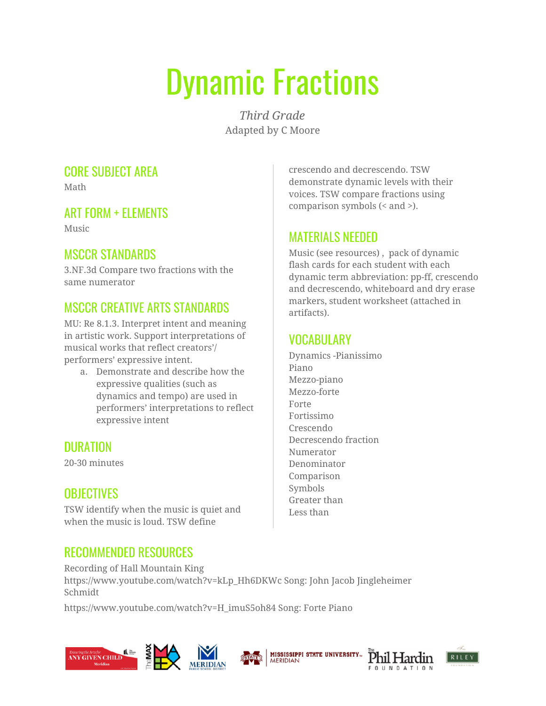# Dynamic Fractions

*Third Grade* Adapted by C Moore

# CORE SUBJECT AREA

Math

# ART FORM + ELEMENTS

Music

# MSCCR STANDARDS

3.NF.3d Compare two fractions with the same numerator

# MSCCR CREATIVE ARTS STANDARDS

MU: Re 8.1.3. Interpret intent and meaning in artistic work. Support interpretations of musical works that reflect creators'/ performers' expressive intent.

a. Demonstrate and describe how the expressive qualities (such as dynamics and tempo) are used in performers' interpretations to reflect expressive intent

### DURATION

20-30 minutes

### **OBJECTIVES**

TSW identify when the music is quiet and when the music is loud. TSW define

### RECOMMENDED RESOURCES

Recording of Hall Mountain King https://www.youtube.com/watch?v=kLp\_Hh6DKWc Song: John Jacob Jingleheimer Schmidt

https://www.youtube.com/watch?v=H\_imuS5oh84 Song: Forte Piano







crescendo and decrescendo. TSW demonstrate dynamic levels with their voices. TSW compare fractions using comparison symbols (< and >).

#### MATERIALS NEEDED

Music (see resources) , pack of dynamic flash cards for each student with each dynamic term abbreviation: pp-ff, crescendo and decrescendo, whiteboard and dry erase markers, student worksheet (attached in artifacts).

#### VOCABULARY

Dynamics -Pianissimo Piano Mezzo-piano Mezzo-forte Forte Fortissimo Crescendo Decrescendo fraction Numerator Denominator Comparison Symbols Greater than Less than

**MISSISSIPPI STATE UNIVERSITY...** 

**MERIDIAN** 



Phil Hardin

COUNDATION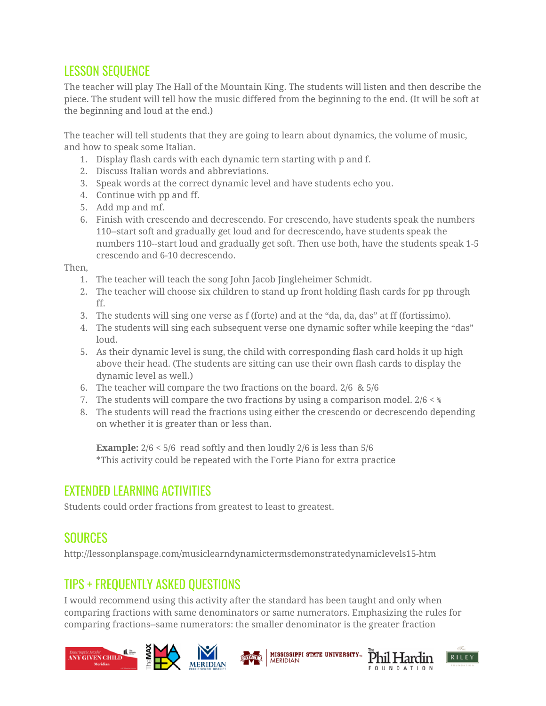#### LESSON SEQUENCE

The teacher will play The Hall of the Mountain King. The students will listen and then describe the piece. The student will tell how the music differed from the beginning to the end. (It will be soft at the beginning and loud at the end.)

The teacher will tell students that they are going to learn about dynamics, the volume of music, and how to speak some Italian.

- 1. Display flash cards with each dynamic tern starting with p and f.
- 2. Discuss Italian words and abbreviations.
- 3. Speak words at the correct dynamic level and have students echo you.
- 4. Continue with pp and ff.
- 5. Add mp and mf.
- 6. Finish with crescendo and decrescendo. For crescendo, have students speak the numbers 110--start soft and gradually get loud and for decrescendo, have students speak the numbers 110--start loud and gradually get soft. Then use both, have the students speak 1-5 crescendo and 6-10 decrescendo.

Then,

- 1. The teacher will teach the song John Jacob Jingleheimer Schmidt.
- 2. The teacher will choose six children to stand up front holding flash cards for pp through ff.
- 3. The students will sing one verse as f (forte) and at the "da, da, das" at ff (fortissimo).
- 4. The students will sing each subsequent verse one dynamic softer while keeping the "das" loud.
- 5. As their dynamic level is sung, the child with corresponding flash card holds it up high above their head. (The students are sitting can use their own flash cards to display the dynamic level as well.)
- 6. The teacher will compare the two fractions on the board. 2/6 & 5/6
- 7. The students will compare the two fractions by using a comparison model.  $2/6 <$  %
- 8. The students will read the fractions using either the crescendo or decrescendo depending on whether it is greater than or less than.

**Example:**  $2/6 < 5/6$  read softly and then loudly 2/6 is less than 5/6 \*This activity could be repeated with the Forte Piano for extra practice

#### EXTENDED LEARNING ACTIVITIES

Students could order fractions from greatest to least to greatest.

#### SOURCES

http://lessonplanspage.com/musiclearndynamictermsdemonstratedynamiclevels15-htm

#### TIPS + FREQUENTLY ASKED QUESTIONS

I would recommend using this activity after the standard has been taught and only when comparing fractions with same denominators or same numerators. Emphasizing the rules for comparing fractions--same numerators: the smaller denominator is the greater fraction